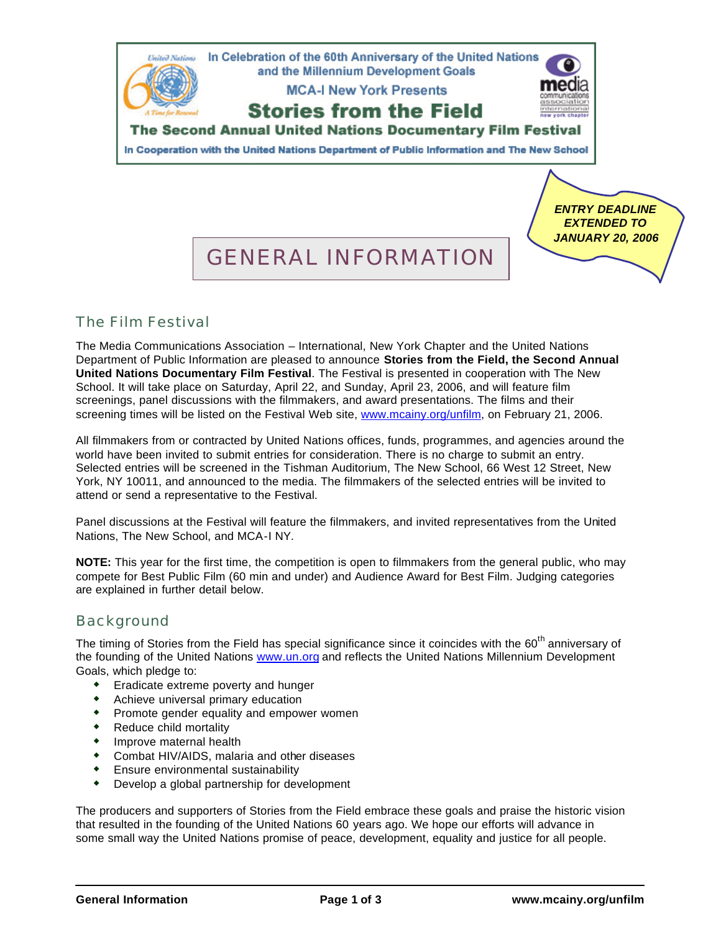

## The Film Festival

The Media Communications Association – International, New York Chapter and the United Nations Department of Public Information are pleased to announce **Stories from the Field, the Second Annual United Nations Documentary Film Festival**. The Festival is presented in cooperation with The New School. It will take place on Saturday, April 22, and Sunday, April 23, 2006, and will feature film screenings, panel discussions with the filmmakers, and award presentations. The films and their screening times will be listed on the Festival Web site, [www.mcainy.org/unfilm,](http://www.mcainy.org/unfilm) on February 21, 2006.

All filmmakers from or contracted by United Nations offices, funds, programmes, and agencies around the world have been invited to submit entries for consideration. There is no charge to submit an entry. Selected entries will be screened in the Tishman Auditorium, The New School, 66 West 12 Street, New York, NY 10011, and announced to the media. The filmmakers of the selected entries will be invited to attend or send a representative to the Festival.

Panel discussions at the Festival will feature the filmmakers, and invited representatives from the United Nations, The New School, and MCA-I NY.

**NOTE:** This year for the first time, the competition is open to filmmakers from the general public, who may compete for Best Public Film (60 min and under) and Audience Award for Best Film. Judging categories are explained in further detail below.

### Background

The timing of Stories from the Field has special significance since it coincides with the 60<sup>th</sup> anniversary of the founding of the United Nations [www.un.org](http://www.un.org) and reflects the United Nations Millennium Development Goals, which pledge to:

- **\*** Eradicate extreme poverty and hunger
- **\*** Achieve universal primary education
- $\bullet$  Promote gender equality and empower women
- Reduce child mortality
- $\bullet$  Improve maternal health
- **\*** Combat HIV/AIDS, malaria and other diseases
- $\bullet$  Ensure environmental sustainability
- $\bullet$  Develop a global partnership for development

The producers and supporters of Stories from the Field embrace these goals and praise the historic vision that resulted in the founding of the United Nations 60 years ago. We hope our efforts will advance in some small way the United Nations promise of peace, development, equality and justice for all people.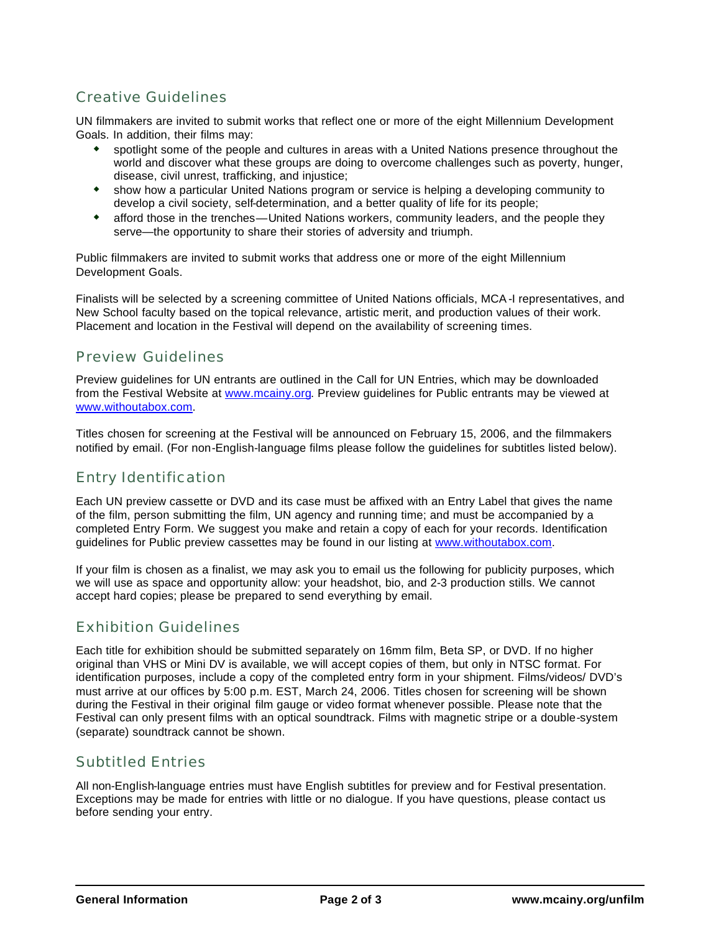# Creative Guidelines

UN filmmakers are invited to submit works that reflect one or more of the eight Millennium Development Goals. In addition, their films may:

- w spotlight some of the people and cultures in areas with a United Nations presence throughout the world and discover what these groups are doing to overcome challenges such as poverty, hunger, disease, civil unrest, trafficking, and injustice;
- show how a particular United Nations program or service is helping a developing community to develop a civil society, self-determination, and a better quality of life for its people;
- \* afford those in the trenches—United Nations workers, community leaders, and the people they serve—the opportunity to share their stories of adversity and triumph.

Public filmmakers are invited to submit works that address one or more of the eight Millennium Development Goals.

Finalists will be selected by a screening committee of United Nations officials, MCA-I representatives, and New School faculty based on the topical relevance, artistic merit, and production values of their work. Placement and location in the Festival will depend on the availability of screening times.

#### Preview Guidelines

Preview guidelines for UN entrants are outlined in the Call for UN Entries, which may be downloaded from the Festival Website at [www.mcainy.org.](http://www.mcainy.org) Preview guidelines for Public entrants may be viewed at [www.withoutabox.com.](http://www.withoutabox.com)

Titles chosen for screening at the Festival will be announced on February 15, 2006, and the filmmakers notified by email. (For non-English-language films please follow the guidelines for subtitles listed below).

### Entry Identification

Each UN preview cassette or DVD and its case must be affixed with an Entry Label that gives the name of the film, person submitting the film, UN agency and running time; and must be accompanied by a completed Entry Form. We suggest you make and retain a copy of each for your records. Identification guidelines for Public preview cassettes may be found in our listing at [www.withoutabox.com.](http://www.withoutabox.com)

If your film is chosen as a finalist, we may ask you to email us the following for publicity purposes, which we will use as space and opportunity allow: your headshot, bio, and 2-3 production stills. We cannot accept hard copies; please be prepared to send everything by email.

### Exhibition Guidelines

Each title for exhibition should be submitted separately on 16mm film, Beta SP, or DVD. If no higher original than VHS or Mini DV is available, we will accept copies of them, but only in NTSC format. For identification purposes, include a copy of the completed entry form in your shipment. Films/videos/ DVD's must arrive at our offices by 5:00 p.m. EST, March 24, 2006. Titles chosen for screening will be shown during the Festival in their original film gauge or video format whenever possible. Please note that the Festival can only present films with an optical soundtrack. Films with magnetic stripe or a double-system (separate) soundtrack cannot be shown.

### Subtitled Entries

All non-English-language entries must have English subtitles for preview and for Festival presentation. Exceptions may be made for entries with little or no dialogue. If you have questions, please contact us before sending your entry.